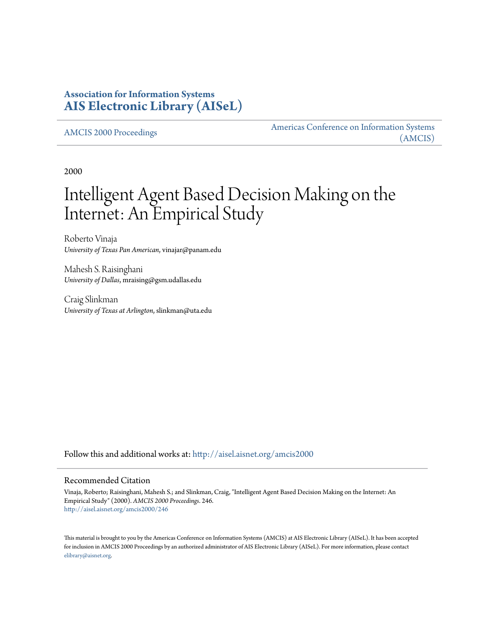# **Association for Information Systems [AIS Electronic Library \(AISeL\)](http://aisel.aisnet.org?utm_source=aisel.aisnet.org%2Famcis2000%2F246&utm_medium=PDF&utm_campaign=PDFCoverPages)**

[AMCIS 2000 Proceedings](http://aisel.aisnet.org/amcis2000?utm_source=aisel.aisnet.org%2Famcis2000%2F246&utm_medium=PDF&utm_campaign=PDFCoverPages)

[Americas Conference on Information Systems](http://aisel.aisnet.org/amcis?utm_source=aisel.aisnet.org%2Famcis2000%2F246&utm_medium=PDF&utm_campaign=PDFCoverPages) [\(AMCIS\)](http://aisel.aisnet.org/amcis?utm_source=aisel.aisnet.org%2Famcis2000%2F246&utm_medium=PDF&utm_campaign=PDFCoverPages)

2000

# Intelligent Agent Based Decision Making on the Internet: An Empirical Study

Roberto Vinaja *University of Texas Pan American*, vinajar@panam.edu

Mahesh S. Raisinghani *University of Dallas*, mraising@gsm.udallas.edu

Craig Slinkman *University of Texas at Arlington*, slinkman@uta.edu

Follow this and additional works at: [http://aisel.aisnet.org/amcis2000](http://aisel.aisnet.org/amcis2000?utm_source=aisel.aisnet.org%2Famcis2000%2F246&utm_medium=PDF&utm_campaign=PDFCoverPages)

#### Recommended Citation

Vinaja, Roberto; Raisinghani, Mahesh S.; and Slinkman, Craig, "Intelligent Agent Based Decision Making on the Internet: An Empirical Study" (2000). *AMCIS 2000 Proceedings*. 246. [http://aisel.aisnet.org/amcis2000/246](http://aisel.aisnet.org/amcis2000/246?utm_source=aisel.aisnet.org%2Famcis2000%2F246&utm_medium=PDF&utm_campaign=PDFCoverPages)

This material is brought to you by the Americas Conference on Information Systems (AMCIS) at AIS Electronic Library (AISeL). It has been accepted for inclusion in AMCIS 2000 Proceedings by an authorized administrator of AIS Electronic Library (AISeL). For more information, please contact [elibrary@aisnet.org.](mailto:elibrary@aisnet.org%3E)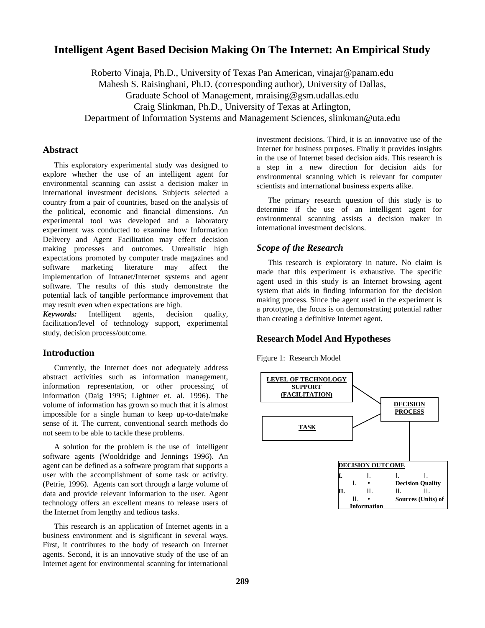# **Intelligent Agent Based Decision Making On The Internet: An Empirical Study**

Roberto Vinaja, Ph.D., University of Texas Pan American, vinajar@panam.edu Mahesh S. Raisinghani, Ph.D. (corresponding author), University of Dallas, Graduate School of Management, mraising@gsm.udallas.edu Craig Slinkman, Ph.D., University of Texas at Arlington, Department of Information Systems and Management Sciences, slinkman@uta.edu

#### **Abstract**

This exploratory experimental study was designed to explore whether the use of an intelligent agent for environmental scanning can assist a decision maker in international investment decisions. Subjects selected a country from a pair of countries, based on the analysis of the political, economic and financial dimensions. An experimental tool was developed and a laboratory experiment was conducted to examine how Information Delivery and Agent Facilitation may effect decision making processes and outcomes. Unrealistic high expectations promoted by computer trade magazines and software marketing literature may affect the implementation of Intranet/Internet systems and agent software. The results of this study demonstrate the potential lack of tangible performance improvement that may result even when expectations are high.

*Keywords:* Intelligent agents, decision quality, facilitation/level of technology support, experimental study, decision process/outcome.

#### **Introduction**

Currently, the Internet does not adequately address abstract activities such as information management, information representation, or other processing of information (Daig 1995; Lightner et. al. 1996). The volume of information has grown so much that it is almost impossible for a single human to keep up-to-date/make sense of it. The current, conventional search methods do not seem to be able to tackle these problems.

A solution for the problem is the use of intelligent software agents (Wooldridge and Jennings 1996). An agent can be defined as a software program that supports a user with the accomplishment of some task or activity. (Petrie, 1996). Agents can sort through a large volume of data and provide relevant information to the user. Agent technology offers an excellent means to release users of the Internet from lengthy and tedious tasks.

This research is an application of Internet agents in a business environment and is significant in several ways. First, it contributes to the body of research on Internet agents. Second, it is an innovative study of the use of an Internet agent for environmental scanning for international

investment decisions. Third, it is an innovative use of the Internet for business purposes. Finally it provides insights in the use of Internet based decision aids. This research is a step in a new direction for decision aids for environmental scanning which is relevant for computer scientists and international business experts alike.

The primary research question of this study is to determine if the use of an intelligent agent for environmental scanning assists a decision maker in international investment decisions.

#### *Scope of the Research*

This research is exploratory in nature. No claim is made that this experiment is exhaustive. The specific agent used in this study is an Internet browsing agent system that aids in finding information for the decision making process. Since the agent used in the experiment is a prototype, the focus is on demonstrating potential rather than creating a definitive Internet agent.

#### **Research Model And Hypotheses**

Figure 1: Research Model

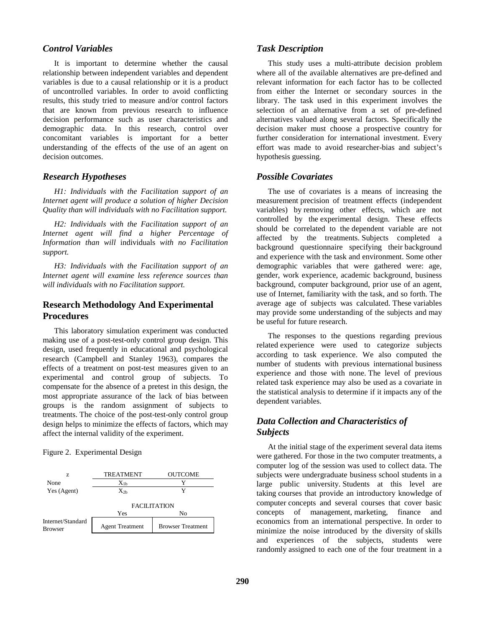#### *Control Variables*

It is important to determine whether the causal relationship between independent variables and dependent variables is due to a causal relationship or it is a product of uncontrolled variables. In order to avoid conflicting results, this study tried to measure and/or control factors that are known from previous research to influence decision performance such as user characteristics and demographic data. In this research, control over concomitant variables is important for a better understanding of the effects of the use of an agent on decision outcomes.

#### *Research Hypotheses*

*H1: Individuals with the Facilitation support of an Internet agent will produce a solution of higher Decision Quality than will individuals with no Facilitation support.* 

*H2: Individuals with the Facilitation support of an Internet agent will find a higher Percentage of Information than will* individuals *with no Facilitation support.* 

*H3: Individuals with the Facilitation support of an Internet agent will examine less reference sources than will individuals with no Facilitation support.* 

## **Research Methodology And Experimental Procedures**

This laboratory simulation experiment was conducted making use of a post-test-only control group design. This design, used frequently in educational and psychological research (Campbell and Stanley 1963), compares the effects of a treatment on post-test measures given to an experimental and control group of subjects. To compensate for the absence of a pretest in this design, the most appropriate assurance of the lack of bias between groups is the random assignment of subjects to treatments. The choice of the post-test-only control group design helps to minimize the effects of factors, which may affect the internal validity of the experiment.

Figure 2. Experimental Design



#### *Task Description*

This study uses a multi-attribute decision problem where all of the available alternatives are pre-defined and relevant information for each factor has to be collected from either the Internet or secondary sources in the library. The task used in this experiment involves the selection of an alternative from a set of pre-defined alternatives valued along several factors. Specifically the decision maker must choose a prospective country for further consideration for international investment. Every effort was made to avoid researcher-bias and subject's hypothesis guessing.

## *Possible Covariates*

The use of covariates is a means of increasing the measurement precision of treatment effects (independent variables) by removing other effects, which are not controlled by the experimental design. These effects should be correlated to the dependent variable are not affected by the treatments. Subjects completed a background questionnaire specifying their background and experience with the task and environment. Some other demographic variables that were gathered were: age, gender, work experience, academic background, business background, computer background, prior use of an agent, use of Internet, familiarity with the task, and so forth. The average age of subjects was calculated. These variables may provide some understanding of the subjects and may be useful for future research.

The responses to the questions regarding previous related experience were used to categorize subjects according to task experience. We also computed the number of students with previous international business experience and those with none. The level of previous related task experience may also be used as a covariate in the statistical analysis to determine if it impacts any of the dependent variables.

# *Data Collection and Characteristics of Subjects*

At the initial stage of the experiment several data items were gathered. For those in the two computer treatments, a computer log of the session was used to collect data. The subjects were undergraduate business school students in a large public university. Students at this level are taking courses that provide an introductory knowledge of computer concepts and several courses that cover basic concepts of management, marketing, finance and economics from an international perspective. In order to minimize the noise introduced by the diversity of skills and experiences of the subjects, students were randomly assigned to each one of the four treatment in a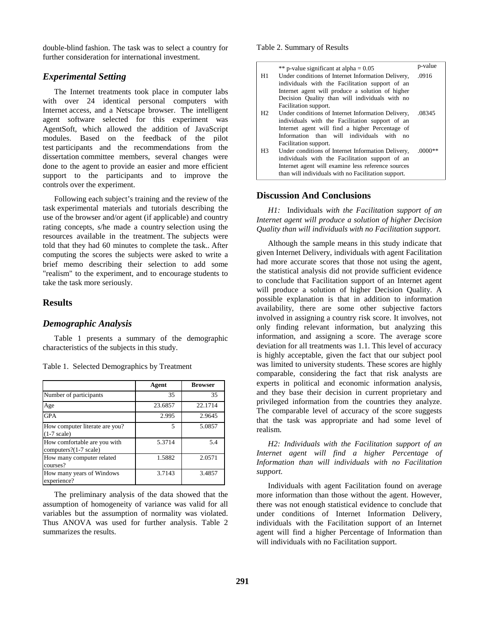double-blind fashion. The task was to select a country for further consideration for international investment.

## *Experimental Setting*

The Internet treatments took place in computer labs with over 24 identical personal computers with Internet access, and a Netscape browser. The intelligent agent software selected for this experiment was AgentSoft, which allowed the addition of JavaScript modules. Based on the feedback of the pilot test participants and the recommendations from the dissertation committee members, several changes were done to the agent to provide an easier and more efficient support to the participants and to improve the controls over the experiment.

Following each subject's training and the review of the task experimental materials and tutorials describing the use of the browser and/or agent (if applicable) and country rating concepts, s/he made a country selection using the resources available in the treatment. The subjects were told that they had 60 minutes to complete the task.. After computing the scores the subjects were asked to write a brief memo describing their selection to add some "realism" to the experiment, and to encourage students to take the task more seriously.

## **Results**

#### *Demographic Analysis*

Table 1 presents a summary of the demographic characteristics of the subjects in this study.

|                                                         | Agent   | <b>Browser</b> |
|---------------------------------------------------------|---------|----------------|
| Number of participants                                  | 35      | 35             |
| Age                                                     | 23.6857 | 22.1714        |
| <b>GPA</b>                                              | 2.995   | 2.9645         |
| How computer literate are you?<br>$(1-7 \text{ scale})$ | 5       | 5.0857         |
| How comfortable are you with<br>computers?(1-7 scale)   | 5.3714  | 5.4            |
| How many computer related<br>courses?                   | 1.5882  | 2.0571         |
| How many years of Windows<br>experience?                | 3.7143  | 3.4857         |

Table 1. Selected Demographics by Treatment

The preliminary analysis of the data showed that the assumption of homogeneity of variance was valid for all variables but the assumption of normality was violated. Thus ANOVA was used for further analysis. Table 2 summarizes the results.

#### Table 2. Summary of Results

|                | ** p-value significant at alpha = $0.05$            | p-value   |
|----------------|-----------------------------------------------------|-----------|
| H1             | Under conditions of Internet Information Delivery,  | .0916     |
|                | individuals with the Facilitation support of an     |           |
|                | Internet agent will produce a solution of higher    |           |
|                | Decision Quality than will individuals with no      |           |
|                | Facilitation support.                               |           |
| H2             | Under conditions of Internet Information Delivery,  | .08345    |
|                | individuals with the Facilitation support of an     |           |
|                | Internet agent will find a higher Percentage of     |           |
|                | Information than will individuals with<br>no        |           |
|                | Facilitation support.                               |           |
| H <sub>3</sub> | Under conditions of Internet Information Delivery,  | $.0000**$ |
|                | individuals with the Facilitation support of an     |           |
|                | Internet agent will examine less reference sources  |           |
|                | than will individuals with no Facilitation support. |           |

#### **Discussion And Conclusions**

*H1:* Individuals *with the Facilitation support of an Internet agent will produce a solution of higher Decision Quality than will individuals with no Facilitation support.* 

Although the sample means in this study indicate that given Internet Delivery, individuals with agent Facilitation had more accurate scores that those not using the agent, the statistical analysis did not provide sufficient evidence to conclude that Facilitation support of an Internet agent will produce a solution of higher Decision Quality. A possible explanation is that in addition to information availability, there are some other subjective factors involved in assigning a country risk score. It involves, not only finding relevant information, but analyzing this information, and assigning a score. The average score deviation for all treatments was 1.1. This level of accuracy is highly acceptable, given the fact that our subject pool was limited to university students. These scores are highly comparable, considering the fact that risk analysts are experts in political and economic information analysis, and they base their decision in current proprietary and privileged information from the countries they analyze. The comparable level of accuracy of the score suggests that the task was appropriate and had some level of realism.

*H2: Individuals with the Facilitation support of an Internet agent will find a higher Percentage of Information than will individuals with no Facilitation support.* 

Individuals with agent Facilitation found on average more information than those without the agent. However, there was not enough statistical evidence to conclude that under conditions of Internet Information Delivery, individuals with the Facilitation support of an Internet agent will find a higher Percentage of Information than will individuals with no Facilitation support.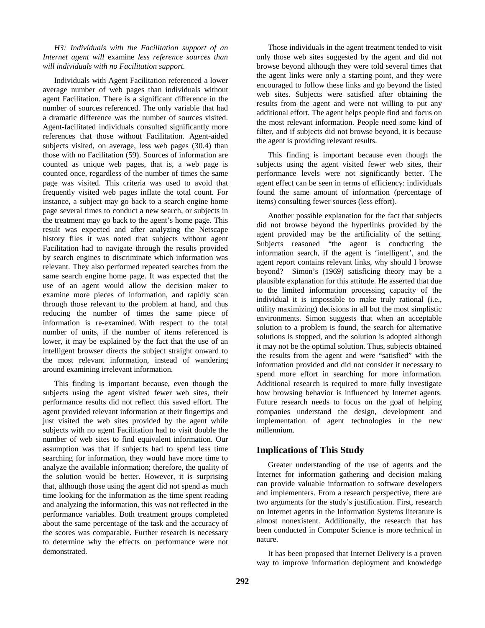*H3: Individuals with the Facilitation support of an Internet agent will* examine *less reference sources than will individuals with no Facilitation support.* 

Individuals with Agent Facilitation referenced a lower average number of web pages than individuals without agent Facilitation. There is a significant difference in the number of sources referenced. The only variable that had a dramatic difference was the number of sources visited. Agent-facilitated individuals consulted significantly more references that those without Facilitation. Agent-aided subjects visited, on average, less web pages (30.4) than those with no Facilitation (59). Sources of information are counted as unique web pages, that is, a web page is counted once, regardless of the number of times the same page was visited. This criteria was used to avoid that frequently visited web pages inflate the total count. For instance, a subject may go back to a search engine home page several times to conduct a new search, or subjects in the treatment may go back to the agent's home page. This result was expected and after analyzing the Netscape history files it was noted that subjects without agent Facilitation had to navigate through the results provided by search engines to discriminate which information was relevant. They also performed repeated searches from the same search engine home page. It was expected that the use of an agent would allow the decision maker to examine more pieces of information, and rapidly scan through those relevant to the problem at hand, and thus reducing the number of times the same piece of information is re-examined. With respect to the total number of units, if the number of items referenced is lower, it may be explained by the fact that the use of an intelligent browser directs the subject straight onward to the most relevant information, instead of wandering around examining irrelevant information.

This finding is important because, even though the subjects using the agent visited fewer web sites, their performance results did not reflect this saved effort. The agent provided relevant information at their fingertips and just visited the web sites provided by the agent while subjects with no agent Facilitation had to visit double the number of web sites to find equivalent information. Our assumption was that if subjects had to spend less time searching for information, they would have more time to analyze the available information; therefore, the quality of the solution would be better. However, it is surprising that, although those using the agent did not spend as much time looking for the information as the time spent reading and analyzing the information, this was not reflected in the performance variables. Both treatment groups completed about the same percentage of the task and the accuracy of the scores was comparable. Further research is necessary to determine why the effects on performance were not demonstrated.

Those individuals in the agent treatment tended to visit only those web sites suggested by the agent and did not browse beyond although they were told several times that the agent links were only a starting point, and they were encouraged to follow these links and go beyond the listed web sites. Subjects were satisfied after obtaining the results from the agent and were not willing to put any additional effort. The agent helps people find and focus on the most relevant information. People need some kind of filter, and if subjects did not browse beyond, it is because the agent is providing relevant results.

This finding is important because even though the subjects using the agent visited fewer web sites, their performance levels were not significantly better. The agent effect can be seen in terms of efficiency: individuals found the same amount of information (percentage of items) consulting fewer sources (less effort).

Another possible explanation for the fact that subjects did not browse beyond the hyperlinks provided by the agent provided may be the artificiality of the setting. Subjects reasoned "the agent is conducting the information search, if the agent is 'intelligent', and the agent report contains relevant links, why should I browse beyond? Simon's (1969) satisficing theory may be a plausible explanation for this attitude. He asserted that due to the limited information processing capacity of the individual it is impossible to make truly rational (i.e., utility maximizing) decisions in all but the most simplistic environments. Simon suggests that when an acceptable solution to a problem is found, the search for alternative solutions is stopped, and the solution is adopted although it may not be the optimal solution. Thus, subjects obtained the results from the agent and were "satisfied" with the information provided and did not consider it necessary to spend more effort in searching for more information. Additional research is required to more fully investigate how browsing behavior is influenced by Internet agents. Future research needs to focus on the goal of helping companies understand the design, development and implementation of agent technologies in the new millennium.

# **Implications of This Study**

Greater understanding of the use of agents and the Internet for information gathering and decision making can provide valuable information to software developers and implementers. From a research perspective, there are two arguments for the study's justification. First, research on Internet agents in the Information Systems literature is almost nonexistent. Additionally, the research that has been conducted in Computer Science is more technical in nature.

It has been proposed that Internet Delivery is a proven way to improve information deployment and knowledge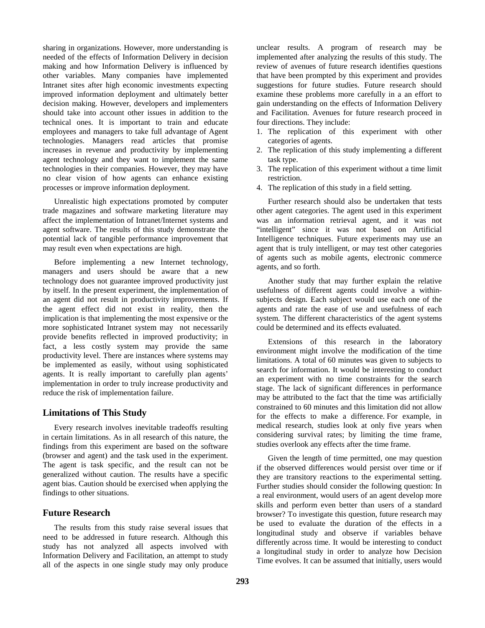sharing in organizations. However, more understanding is needed of the effects of Information Delivery in decision making and how Information Delivery is influenced by other variables. Many companies have implemented Intranet sites after high economic investments expecting improved information deployment and ultimately better decision making. However, developers and implementers should take into account other issues in addition to the technical ones. It is important to train and educate employees and managers to take full advantage of Agent technologies. Managers read articles that promise increases in revenue and productivity by implementing agent technology and they want to implement the same technologies in their companies. However, they may have no clear vision of how agents can enhance existing processes or improve information deployment.

Unrealistic high expectations promoted by computer trade magazines and software marketing literature may affect the implementation of Intranet/Internet systems and agent software. The results of this study demonstrate the potential lack of tangible performance improvement that may result even when expectations are high.

Before implementing a new Internet technology, managers and users should be aware that a new technology does not guarantee improved productivity just by itself. In the present experiment, the implementation of an agent did not result in productivity improvements. If the agent effect did not exist in reality, then the implication is that implementing the most expensive or the more sophisticated Intranet system may not necessarily provide benefits reflected in improved productivity; in fact, a less costly system may provide the same productivity level. There are instances where systems may be implemented as easily, without using sophisticated agents. It is really important to carefully plan agents' implementation in order to truly increase productivity and reduce the risk of implementation failure.

# **Limitations of This Study**

Every research involves inevitable tradeoffs resulting in certain limitations. As in all research of this nature, the findings from this experiment are based on the software (browser and agent) and the task used in the experiment. The agent is task specific, and the result can not be generalized without caution. The results have a specific agent bias. Caution should be exercised when applying the findings to other situations.

# **Future Research**

The results from this study raise several issues that need to be addressed in future research. Although this study has not analyzed all aspects involved with Information Delivery and Facilitation, an attempt to study all of the aspects in one single study may only produce

unclear results. A program of research may be implemented after analyzing the results of this study. The review of avenues of future research identifies questions that have been prompted by this experiment and provides suggestions for future studies. Future research should examine these problems more carefully in a an effort to gain understanding on the effects of Information Delivery and Facilitation. Avenues for future research proceed in four directions. They include:

- 1. The replication of this experiment with other categories of agents.
- 2. The replication of this study implementing a different task type.
- 3. The replication of this experiment without a time limit restriction.
- 4. The replication of this study in a field setting.

Further research should also be undertaken that tests other agent categories. The agent used in this experiment was an information retrieval agent, and it was not "intelligent" since it was not based on Artificial Intelligence techniques. Future experiments may use an agent that is truly intelligent, or may test other categories of agents such as mobile agents, electronic commerce agents, and so forth.

Another study that may further explain the relative usefulness of different agents could involve a withinsubjects design. Each subject would use each one of the agents and rate the ease of use and usefulness of each system. The different characteristics of the agent systems could be determined and its effects evaluated.

Extensions of this research in the laboratory environment might involve the modification of the time limitations. A total of 60 minutes was given to subjects to search for information. It would be interesting to conduct an experiment with no time constraints for the search stage. The lack of significant differences in performance may be attributed to the fact that the time was artificially constrained to 60 minutes and this limitation did not allow for the effects to make a difference. For example, in medical research, studies look at only five years when considering survival rates; by limiting the time frame, studies overlook any effects after the time frame.

Given the length of time permitted, one may question if the observed differences would persist over time or if they are transitory reactions to the experimental setting. Further studies should consider the following question: In a real environment, would users of an agent develop more skills and perform even better than users of a standard browser? To investigate this question, future research may be used to evaluate the duration of the effects in a longitudinal study and observe if variables behave differently across time. It would be interesting to conduct a longitudinal study in order to analyze how Decision Time evolves. It can be assumed that initially, users would